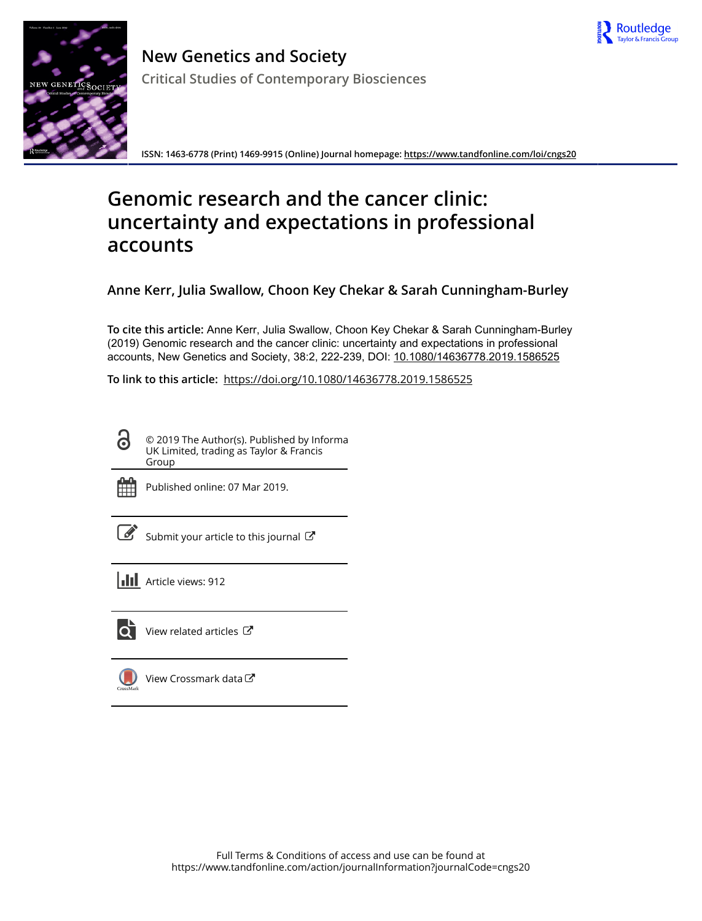



**New Genetics and Society Critical Studies of Contemporary Biosciences**

**ISSN: 1463-6778 (Print) 1469-9915 (Online) Journal homepage:<https://www.tandfonline.com/loi/cngs20>**

# **Genomic research and the cancer clinic: uncertainty and expectations in professional accounts**

**Anne Kerr, Julia Swallow, Choon Key Chekar & Sarah Cunningham-Burley**

**To cite this article:** Anne Kerr, Julia Swallow, Choon Key Chekar & Sarah Cunningham-Burley (2019) Genomic research and the cancer clinic: uncertainty and expectations in professional accounts, New Genetics and Society, 38:2, 222-239, DOI: [10.1080/14636778.2019.1586525](https://www.tandfonline.com/action/showCitFormats?doi=10.1080/14636778.2019.1586525)

**To link to this article:** <https://doi.org/10.1080/14636778.2019.1586525>

 $\mathbf{a}$ © 2019 The Author(s). Published by Informa UK Limited, trading as Taylor & Francis Group



Published online: 07 Mar 2019.



 $\overline{\mathscr{L}}$  [Submit your article to this journal](https://www.tandfonline.com/action/authorSubmission?journalCode=cngs20&show=instructions)  $\mathbb{F}$ 

**III** Article views: 912



 $\overline{Q}$  [View related articles](https://www.tandfonline.com/doi/mlt/10.1080/14636778.2019.1586525)  $\mathbb{Z}$ 

[View Crossmark data](http://crossmark.crossref.org/dialog/?doi=10.1080/14636778.2019.1586525&domain=pdf&date_stamp=2019-03-07)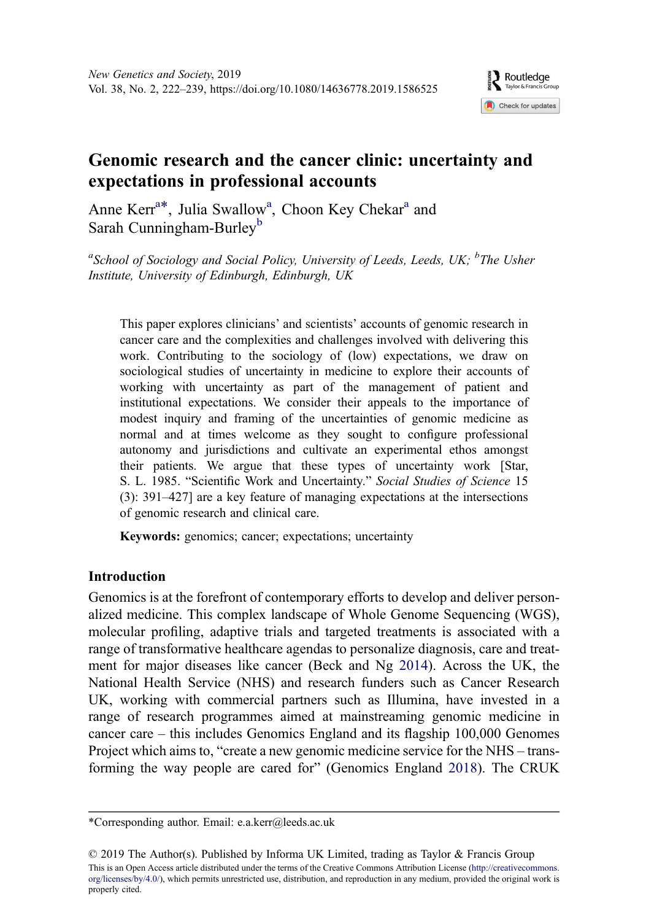

# <span id="page-1-0"></span>Genomic research and the cancer clinic: uncertainty and expectations in professional accounts

Anne Kerr<sup>a\*</sup>, Julia Swallow<sup>a</sup>, Choon Key Chekar<sup>a</sup> and Sarah Cunningham-Burley<sup>b</sup>

<sup>a</sup>School of Sociology and Social Policy, University of Leeds, Leeds, UK;  ${}^{b}$ The Usher Institute, University of Edinburgh, Edinburgh, UK

This paper explores clinicians' and scientists' accounts of genomic research in cancer care and the complexities and challenges involved with delivering this work. Contributing to the sociology of (low) expectations, we draw on sociological studies of uncertainty in medicine to explore their accounts of working with uncertainty as part of the management of patient and institutional expectations. We consider their appeals to the importance of modest inquiry and framing of the uncertainties of genomic medicine as normal and at times welcome as they sought to configure professional autonomy and jurisdictions and cultivate an experimental ethos amongst their patients. We argue that these types of uncertainty work [Star, S. L. 1985. "Scientific Work and Uncertainty." Social Studies of Science 15 (3): 391–427] are a key feature of managing expectations at the intersections of genomic research and clinical care.

Keywords: genomics; cancer; expectations; uncertainty

# Introduction

Genomics is at the forefront of contemporary efforts to develop and deliver personalized medicine. This complex landscape of Whole Genome Sequencing (WGS), molecular profiling, adaptive trials and targeted treatments is associated with a range of transformative healthcare agendas to personalize diagnosis, care and treatment for major diseases like cancer (Beck and Ng [2014](#page-16-0)). Across the UK, the National Health Service (NHS) and research funders such as Cancer Research UK, working with commercial partners such as Illumina, have invested in a range of research programmes aimed at mainstreaming genomic medicine in cancer care – this includes Genomics England and its flagship 100,000 Genomes Project which aims to, "create a new genomic medicine service for the NHS – transforming the way people are cared for" (Genomics England [2018\)](#page-17-0). The CRUK

© 2019 The Author(s). Published by Informa UK Limited, trading as Taylor & Francis Group This is an Open Access article distributed under the terms of the Creative Commons Attribution License [\(http://creativecommons.](http://creativecommons.org/licenses/by/4.0/) [org/licenses/by/4.0/](http://creativecommons.org/licenses/by/4.0/)), which permits unrestricted use, distribution, and reproduction in any medium, provided the original work is properly cited.

<sup>\*</sup>Corresponding author. Email: [e.a.kerr@leeds.ac.uk](mailto:e.a.kerr@leeds.ac.uk)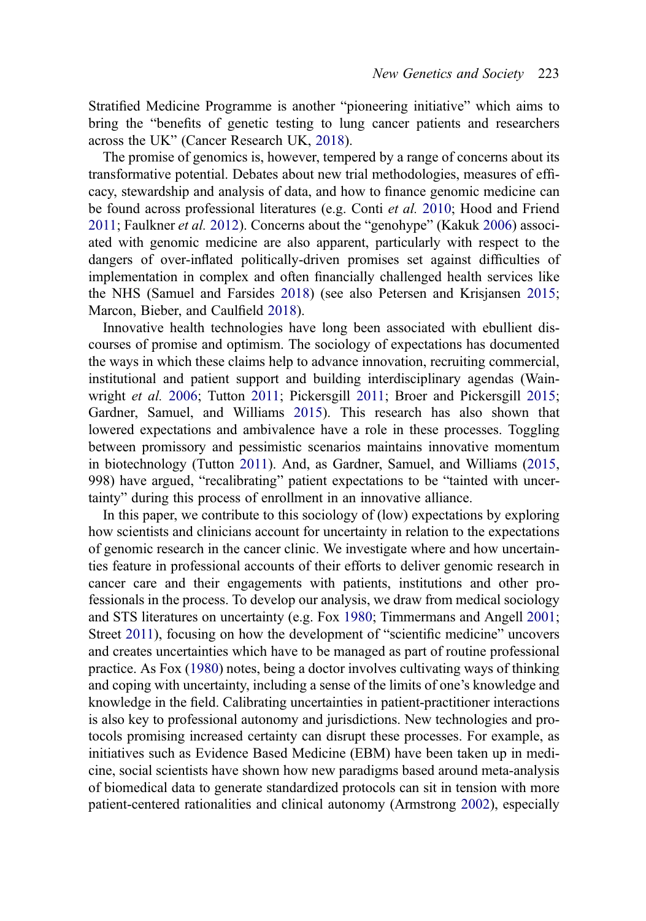<span id="page-2-0"></span>Stratified Medicine Programme is another "pioneering initiative" which aims to bring the "benefits of genetic testing to lung cancer patients and researchers across the UK" (Cancer Research UK, [2018](#page-16-0)).

The promise of genomics is, however, tempered by a range of concerns about its transformative potential. Debates about new trial methodologies, measures of efficacy, stewardship and analysis of data, and how to finance genomic medicine can be found across professional literatures (e.g. Conti et al. [2010;](#page-16-0) Hood and Friend [2011](#page-17-0); Faulkner et al. [2012\)](#page-17-0). Concerns about the "genohype" (Kakuk [2006](#page-17-0)) associated with genomic medicine are also apparent, particularly with respect to the dangers of over-inflated politically-driven promises set against difficulties of implementation in complex and often financially challenged health services like the NHS (Samuel and Farsides [2018\)](#page-17-0) (see also Petersen and Krisjansen [2015;](#page-17-0) Marcon, Bieber, and Caulfield [2018\)](#page-17-0).

Innovative health technologies have long been associated with ebullient discourses of promise and optimism. The sociology of expectations has documented the ways in which these claims help to advance innovation, recruiting commercial, institutional and patient support and building interdisciplinary agendas (Wainwright *et al.* [2006;](#page-18-0) Tutton [2011;](#page-18-0) Pickersgill [2011](#page-17-0); Broer and Pickersgill [2015;](#page-16-0) Gardner, Samuel, and Williams [2015](#page-17-0)). This research has also shown that lowered expectations and ambivalence have a role in these processes. Toggling between promissory and pessimistic scenarios maintains innovative momentum in biotechnology (Tutton [2011\)](#page-18-0). And, as Gardner, Samuel, and Williams ([2015,](#page-17-0) 998) have argued, "recalibrating" patient expectations to be "tainted with uncertainty" during this process of enrollment in an innovative alliance.

In this paper, we contribute to this sociology of (low) expectations by exploring how scientists and clinicians account for uncertainty in relation to the expectations of genomic research in the cancer clinic. We investigate where and how uncertainties feature in professional accounts of their efforts to deliver genomic research in cancer care and their engagements with patients, institutions and other professionals in the process. To develop our analysis, we draw from medical sociology and STS literatures on uncertainty (e.g. Fox [1980;](#page-17-0) Timmermans and Angell [2001;](#page-18-0) Street [2011\)](#page-17-0), focusing on how the development of "scientific medicine" uncovers and creates uncertainties which have to be managed as part of routine professional practice. As Fox ([1980\)](#page-17-0) notes, being a doctor involves cultivating ways of thinking and coping with uncertainty, including a sense of the limits of one's knowledge and knowledge in the field. Calibrating uncertainties in patient-practitioner interactions is also key to professional autonomy and jurisdictions. New technologies and protocols promising increased certainty can disrupt these processes. For example, as initiatives such as Evidence Based Medicine (EBM) have been taken up in medicine, social scientists have shown how new paradigms based around meta-analysis of biomedical data to generate standardized protocols can sit in tension with more patient-centered rationalities and clinical autonomy (Armstrong [2002](#page-16-0)), especially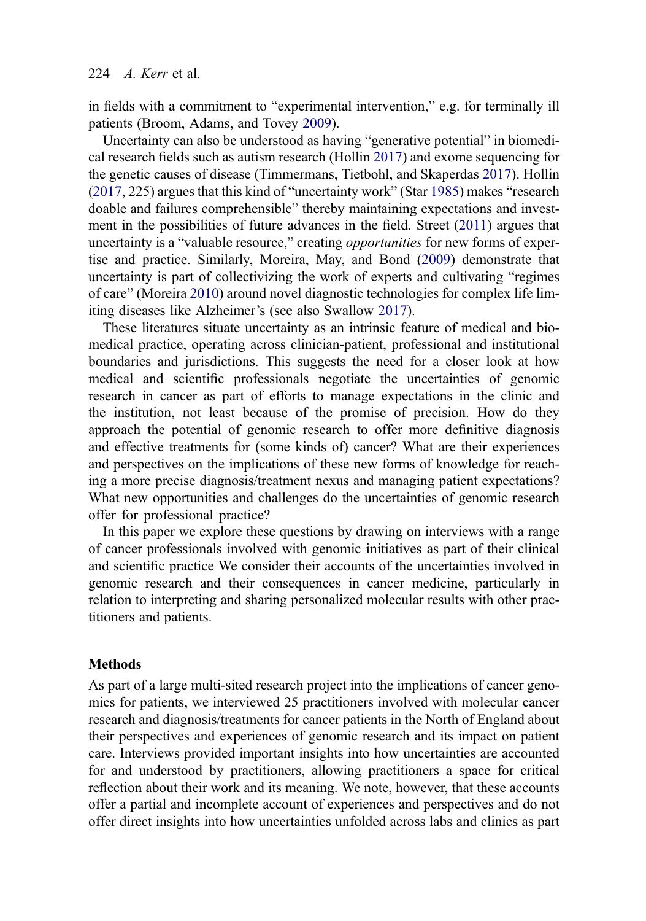#### <span id="page-3-0"></span>224  $\angle$  *A. Kerr* et al.

in fields with a commitment to "experimental intervention," e.g. for terminally ill patients (Broom, Adams, and Tovey [2009](#page-16-0)).

Uncertainty can also be understood as having "generative potential" in biomedical research fields such as autism research (Hollin [2017](#page-17-0)) and exome sequencing for the genetic causes of disease (Timmermans, Tietbohl, and Skaperdas [2017\)](#page-18-0). Hollin [\(2017](#page-17-0), 225) argues that this kind of "uncertainty work" (Star [1985\)](#page-17-0) makes "research doable and failures comprehensible" thereby maintaining expectations and investment in the possibilities of future advances in the field. Street [\(2011](#page-17-0)) argues that uncertainty is a "valuable resource," creating *opportunities* for new forms of expertise and practice. Similarly, Moreira, May, and Bond [\(2009](#page-17-0)) demonstrate that uncertainty is part of collectivizing the work of experts and cultivating "regimes of care" (Moreira [2010](#page-17-0)) around novel diagnostic technologies for complex life limiting diseases like Alzheimer's (see also Swallow [2017\)](#page-17-0).

These literatures situate uncertainty as an intrinsic feature of medical and biomedical practice, operating across clinician-patient, professional and institutional boundaries and jurisdictions. This suggests the need for a closer look at how medical and scientific professionals negotiate the uncertainties of genomic research in cancer as part of efforts to manage expectations in the clinic and the institution, not least because of the promise of precision. How do they approach the potential of genomic research to offer more definitive diagnosis and effective treatments for (some kinds of) cancer? What are their experiences and perspectives on the implications of these new forms of knowledge for reaching a more precise diagnosis/treatment nexus and managing patient expectations? What new opportunities and challenges do the uncertainties of genomic research offer for professional practice?

In this paper we explore these questions by drawing on interviews with a range of cancer professionals involved with genomic initiatives as part of their clinical and scientific practice We consider their accounts of the uncertainties involved in genomic research and their consequences in cancer medicine, particularly in relation to interpreting and sharing personalized molecular results with other practitioners and patients.

#### Methods

As part of a large multi-sited research project into the implications of cancer genomics for patients, we interviewed 25 practitioners involved with molecular cancer research and diagnosis/treatments for cancer patients in the North of England about their perspectives and experiences of genomic research and its impact on patient care. Interviews provided important insights into how uncertainties are accounted for and understood by practitioners, allowing practitioners a space for critical reflection about their work and its meaning. We note, however, that these accounts offer a partial and incomplete account of experiences and perspectives and do not offer direct insights into how uncertainties unfolded across labs and clinics as part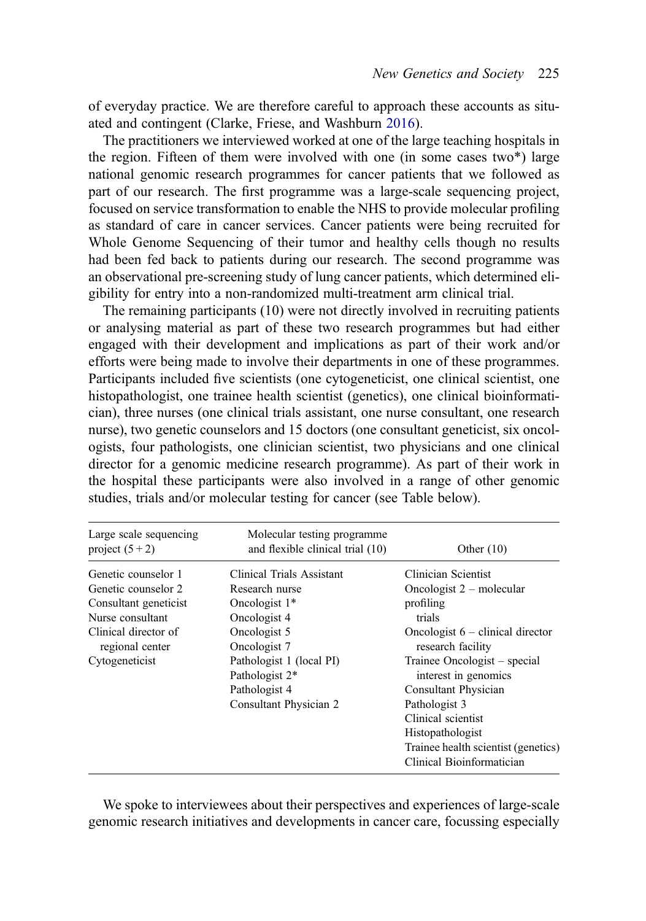<span id="page-4-0"></span>of everyday practice. We are therefore careful to approach these accounts as situated and contingent (Clarke, Friese, and Washburn [2016](#page-16-0)).

The practitioners we interviewed worked at one of the large teaching hospitals in the region. Fifteen of them were involved with one (in some cases two\*) large national genomic research programmes for cancer patients that we followed as part of our research. The first programme was a large-scale sequencing project, focused on service transformation to enable the NHS to provide molecular profiling as standard of care in cancer services. Cancer patients were being recruited for Whole Genome Sequencing of their tumor and healthy cells though no results had been fed back to patients during our research. The second programme was an observational pre-screening study of lung cancer patients, which determined eligibility for entry into a non-randomized multi-treatment arm clinical trial.

The remaining participants (10) were not directly involved in recruiting patients or analysing material as part of these two research programmes but had either engaged with their development and implications as part of their work and/or efforts were being made to involve their departments in one of these programmes. Participants included five scientists (one cytogeneticist, one clinical scientist, one histopathologist, one trainee health scientist (genetics), one clinical bioinformatician), three nurses (one clinical trials assistant, one nurse consultant, one research nurse), two genetic counselors and 15 doctors (one consultant geneticist, six oncologists, four pathologists, one clinician scientist, two physicians and one clinical director for a genomic medicine research programme). As part of their work in the hospital these participants were also involved in a range of other genomic studies, trials and/or molecular testing for cancer (see Table below).

| Large scale sequencing<br>project $(5+2)$                                               | Molecular testing programme<br>and flexible clinical trial (10)                                                       | Other $(10)$                                                                                                                                                                                                                                                                  |
|-----------------------------------------------------------------------------------------|-----------------------------------------------------------------------------------------------------------------------|-------------------------------------------------------------------------------------------------------------------------------------------------------------------------------------------------------------------------------------------------------------------------------|
| Genetic counselor 1<br>Genetic counselor 2<br>Consultant geneticist<br>Nurse consultant | Clinical Trials Assistant<br>Research nurse<br>Oncologist 1*<br>Oncologist 4                                          | Clinician Scientist<br>Oncologist $2$ – molecular<br>profiling<br>trials                                                                                                                                                                                                      |
| Clinical director of<br>regional center<br>Cytogeneticist                               | Oncologist 5<br>Oncologist 7<br>Pathologist 1 (local PI)<br>Pathologist 2*<br>Pathologist 4<br>Consultant Physician 2 | Oncologist $6$ – clinical director<br>research facility<br>Trainee Oncologist – special<br>interest in genomics<br><b>Consultant Physician</b><br>Pathologist 3<br>Clinical scientist<br>Histopathologist<br>Trainee health scientist (genetics)<br>Clinical Bioinformatician |

We spoke to interviewees about their perspectives and experiences of large-scale genomic research initiatives and developments in cancer care, focussing especially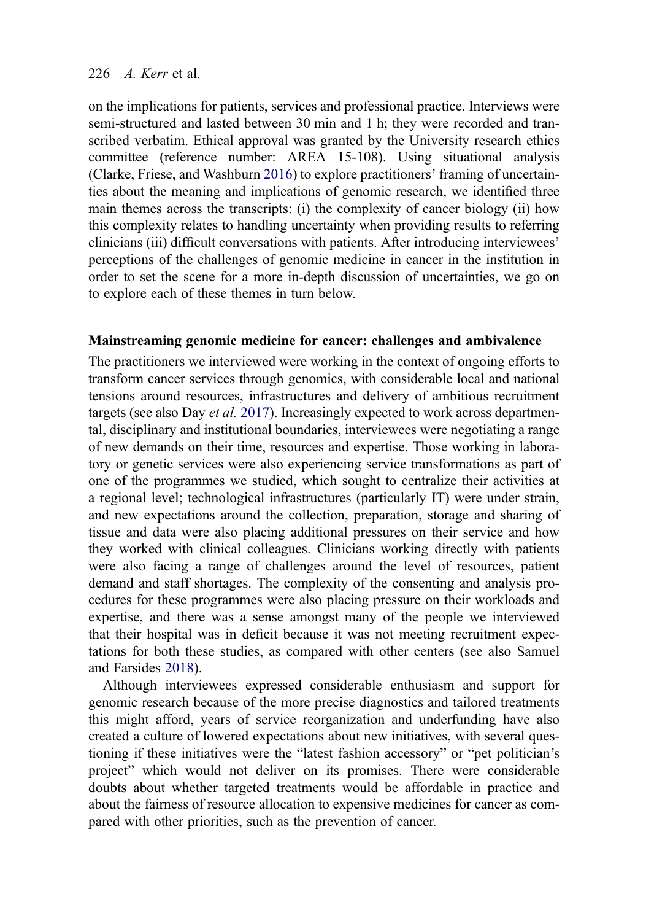#### <span id="page-5-0"></span>226  $\angle$  A. Kerr et al.

on the implications for patients, services and professional practice. Interviews were semi-structured and lasted between 30 min and 1 h; they were recorded and transcribed verbatim. Ethical approval was granted by the University research ethics committee (reference number: AREA 15-108). Using situational analysis (Clarke, Friese, and Washburn [2016](#page-16-0)) to explore practitioners' framing of uncertainties about the meaning and implications of genomic research, we identified three main themes across the transcripts: (i) the complexity of cancer biology (ii) how this complexity relates to handling uncertainty when providing results to referring clinicians (iii) difficult conversations with patients. After introducing interviewees' perceptions of the challenges of genomic medicine in cancer in the institution in order to set the scene for a more in-depth discussion of uncertainties, we go on to explore each of these themes in turn below.

# Mainstreaming genomic medicine for cancer: challenges and ambivalence

The practitioners we interviewed were working in the context of ongoing efforts to transform cancer services through genomics, with considerable local and national tensions around resources, infrastructures and delivery of ambitious recruitment targets (see also Day *et al.* [2017\)](#page-16-0). Increasingly expected to work across departmental, disciplinary and institutional boundaries, interviewees were negotiating a range of new demands on their time, resources and expertise. Those working in laboratory or genetic services were also experiencing service transformations as part of one of the programmes we studied, which sought to centralize their activities at a regional level; technological infrastructures (particularly IT) were under strain, and new expectations around the collection, preparation, storage and sharing of tissue and data were also placing additional pressures on their service and how they worked with clinical colleagues. Clinicians working directly with patients were also facing a range of challenges around the level of resources, patient demand and staff shortages. The complexity of the consenting and analysis procedures for these programmes were also placing pressure on their workloads and expertise, and there was a sense amongst many of the people we interviewed that their hospital was in deficit because it was not meeting recruitment expectations for both these studies, as compared with other centers (see also Samuel and Farsides [2018](#page-17-0)).

Although interviewees expressed considerable enthusiasm and support for genomic research because of the more precise diagnostics and tailored treatments this might afford, years of service reorganization and underfunding have also created a culture of lowered expectations about new initiatives, with several questioning if these initiatives were the "latest fashion accessory" or "pet politician's project" which would not deliver on its promises. There were considerable doubts about whether targeted treatments would be affordable in practice and about the fairness of resource allocation to expensive medicines for cancer as compared with other priorities, such as the prevention of cancer.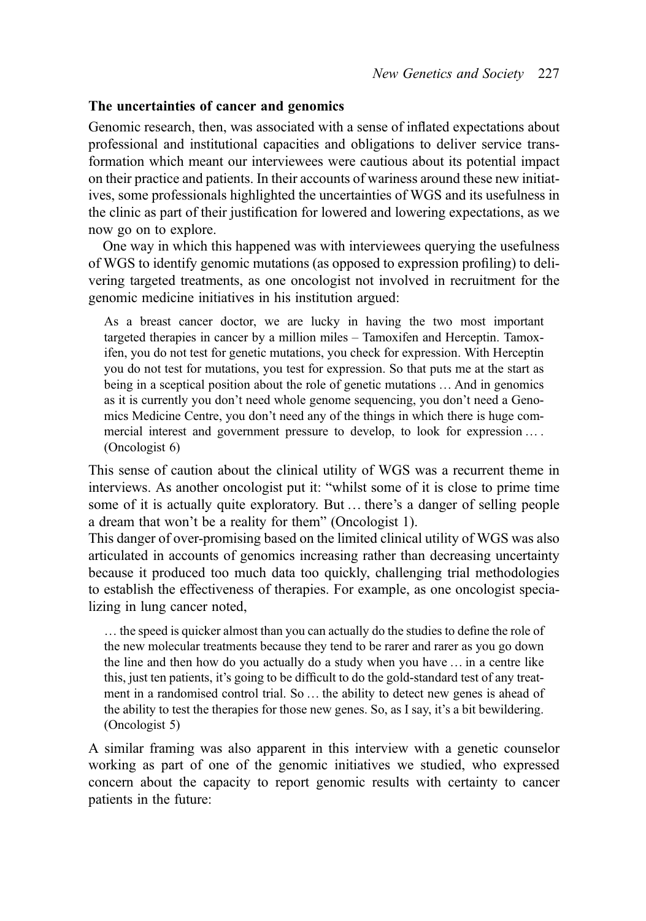# The uncertainties of cancer and genomics

Genomic research, then, was associated with a sense of inflated expectations about professional and institutional capacities and obligations to deliver service transformation which meant our interviewees were cautious about its potential impact on their practice and patients. In their accounts of wariness around these new initiatives, some professionals highlighted the uncertainties of WGS and its usefulness in the clinic as part of their justification for lowered and lowering expectations, as we now go on to explore.

One way in which this happened was with interviewees querying the usefulness of WGS to identify genomic mutations (as opposed to expression profiling) to delivering targeted treatments, as one oncologist not involved in recruitment for the genomic medicine initiatives in his institution argued:

As a breast cancer doctor, we are lucky in having the two most important targeted therapies in cancer by a million miles – Tamoxifen and Herceptin. Tamoxifen, you do not test for genetic mutations, you check for expression. With Herceptin you do not test for mutations, you test for expression. So that puts me at the start as being in a sceptical position about the role of genetic mutations … And in genomics as it is currently you don't need whole genome sequencing, you don't need a Genomics Medicine Centre, you don't need any of the things in which there is huge commercial interest and government pressure to develop, to look for expression … . (Oncologist 6)

This sense of caution about the clinical utility of WGS was a recurrent theme in interviews. As another oncologist put it: "whilst some of it is close to prime time some of it is actually quite exploratory. But … there's a danger of selling people a dream that won't be a reality for them" (Oncologist 1).

This danger of over-promising based on the limited clinical utility of WGS was also articulated in accounts of genomics increasing rather than decreasing uncertainty because it produced too much data too quickly, challenging trial methodologies to establish the effectiveness of therapies. For example, as one oncologist specializing in lung cancer noted,

… the speed is quicker almost than you can actually do the studies to define the role of the new molecular treatments because they tend to be rarer and rarer as you go down the line and then how do you actually do a study when you have … in a centre like this, just ten patients, it's going to be difficult to do the gold-standard test of any treatment in a randomised control trial. So … the ability to detect new genes is ahead of the ability to test the therapies for those new genes. So, as I say, it's a bit bewildering. (Oncologist 5)

A similar framing was also apparent in this interview with a genetic counselor working as part of one of the genomic initiatives we studied, who expressed concern about the capacity to report genomic results with certainty to cancer patients in the future: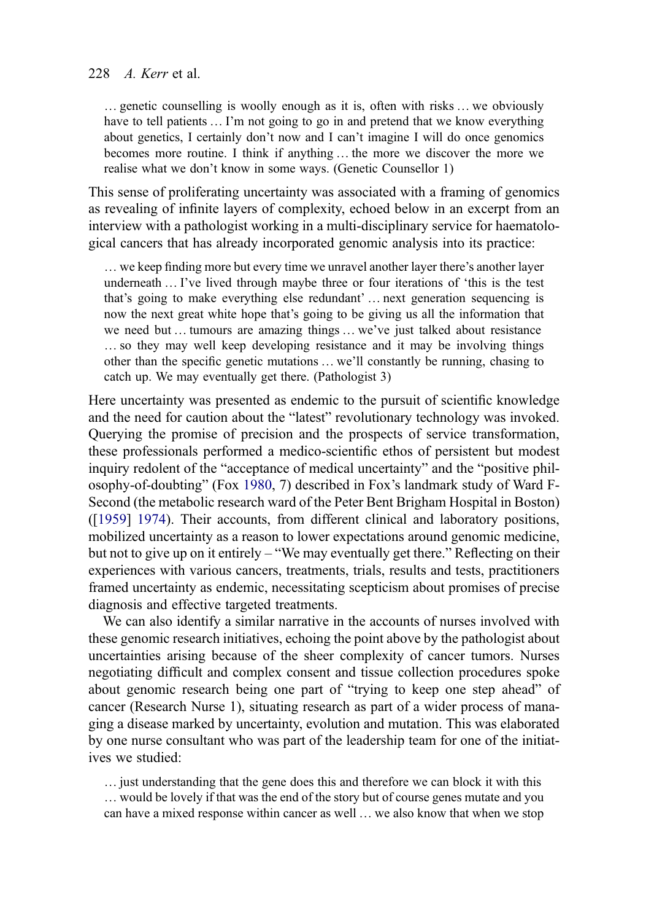<span id="page-7-0"></span>… genetic counselling is woolly enough as it is, often with risks … we obviously have to tell patients ... I'm not going to go in and pretend that we know everything about genetics, I certainly don't now and I can't imagine I will do once genomics becomes more routine. I think if anything … the more we discover the more we realise what we don't know in some ways. (Genetic Counsellor 1)

This sense of proliferating uncertainty was associated with a framing of genomics as revealing of infinite layers of complexity, echoed below in an excerpt from an interview with a pathologist working in a multi-disciplinary service for haematological cancers that has already incorporated genomic analysis into its practice:

… we keep finding more but every time we unravel another layer there's another layer underneath … I've lived through maybe three or four iterations of 'this is the test that's going to make everything else redundant' … next generation sequencing is now the next great white hope that's going to be giving us all the information that we need but … tumours are amazing things … we've just talked about resistance … so they may well keep developing resistance and it may be involving things other than the specific genetic mutations … we'll constantly be running, chasing to catch up. We may eventually get there. (Pathologist 3)

Here uncertainty was presented as endemic to the pursuit of scientific knowledge and the need for caution about the "latest" revolutionary technology was invoked. Querying the promise of precision and the prospects of service transformation, these professionals performed a medico-scientific ethos of persistent but modest inquiry redolent of the "acceptance of medical uncertainty" and the "positive philosophy-of-doubting" (Fox [1980,](#page-17-0) 7) described in Fox's landmark study of Ward F-Second (the metabolic research ward of the Peter Bent Brigham Hospital in Boston) ([[1959\]](#page-17-0) [1974\)](#page-17-0). Their accounts, from different clinical and laboratory positions, mobilized uncertainty as a reason to lower expectations around genomic medicine, but not to give up on it entirely – "We may eventually get there." Reflecting on their experiences with various cancers, treatments, trials, results and tests, practitioners framed uncertainty as endemic, necessitating scepticism about promises of precise diagnosis and effective targeted treatments.

We can also identify a similar narrative in the accounts of nurses involved with these genomic research initiatives, echoing the point above by the pathologist about uncertainties arising because of the sheer complexity of cancer tumors. Nurses negotiating difficult and complex consent and tissue collection procedures spoke about genomic research being one part of "trying to keep one step ahead" of cancer (Research Nurse 1), situating research as part of a wider process of managing a disease marked by uncertainty, evolution and mutation. This was elaborated by one nurse consultant who was part of the leadership team for one of the initiatives we studied:

… just understanding that the gene does this and therefore we can block it with this … would be lovely if that was the end of the story but of course genes mutate and you can have a mixed response within cancer as well … we also know that when we stop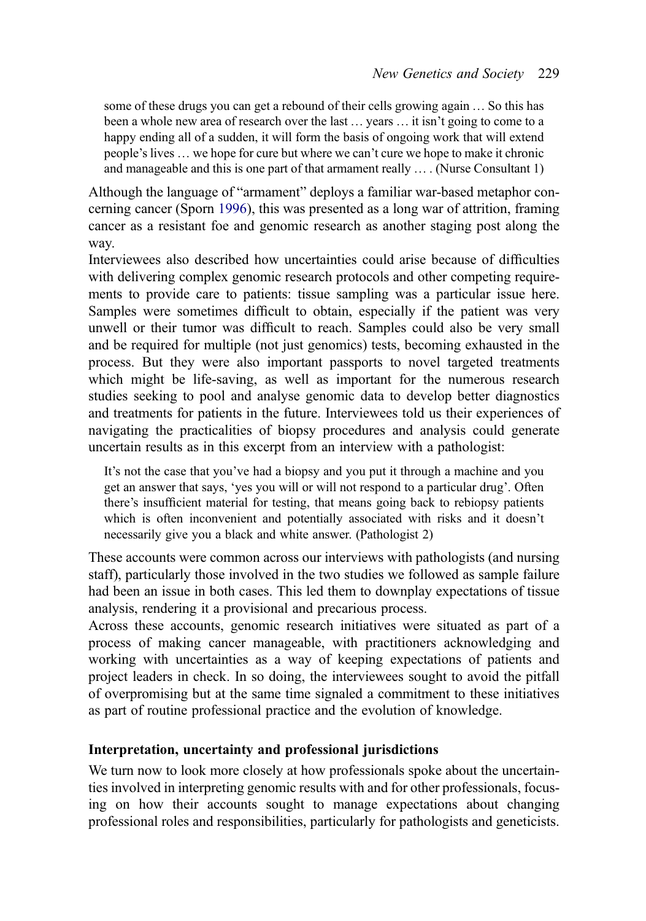<span id="page-8-0"></span>some of these drugs you can get a rebound of their cells growing again … So this has been a whole new area of research over the last … years … it isn't going to come to a happy ending all of a sudden, it will form the basis of ongoing work that will extend people's lives … we hope for cure but where we can't cure we hope to make it chronic and manageable and this is one part of that armament really … . (Nurse Consultant 1)

Although the language of "armament" deploys a familiar war-based metaphor concerning cancer (Sporn [1996\)](#page-17-0), this was presented as a long war of attrition, framing cancer as a resistant foe and genomic research as another staging post along the way.

Interviewees also described how uncertainties could arise because of difficulties with delivering complex genomic research protocols and other competing requirements to provide care to patients: tissue sampling was a particular issue here. Samples were sometimes difficult to obtain, especially if the patient was very unwell or their tumor was difficult to reach. Samples could also be very small and be required for multiple (not just genomics) tests, becoming exhausted in the process. But they were also important passports to novel targeted treatments which might be life-saving, as well as important for the numerous research studies seeking to pool and analyse genomic data to develop better diagnostics and treatments for patients in the future. Interviewees told us their experiences of navigating the practicalities of biopsy procedures and analysis could generate uncertain results as in this excerpt from an interview with a pathologist:

It's not the case that you've had a biopsy and you put it through a machine and you get an answer that says, 'yes you will or will not respond to a particular drug'. Often there's insufficient material for testing, that means going back to rebiopsy patients which is often inconvenient and potentially associated with risks and it doesn't necessarily give you a black and white answer. (Pathologist 2)

These accounts were common across our interviews with pathologists (and nursing staff), particularly those involved in the two studies we followed as sample failure had been an issue in both cases. This led them to downplay expectations of tissue analysis, rendering it a provisional and precarious process.

Across these accounts, genomic research initiatives were situated as part of a process of making cancer manageable, with practitioners acknowledging and working with uncertainties as a way of keeping expectations of patients and project leaders in check. In so doing, the interviewees sought to avoid the pitfall of overpromising but at the same time signaled a commitment to these initiatives as part of routine professional practice and the evolution of knowledge.

# Interpretation, uncertainty and professional jurisdictions

We turn now to look more closely at how professionals spoke about the uncertainties involved in interpreting genomic results with and for other professionals, focusing on how their accounts sought to manage expectations about changing professional roles and responsibilities, particularly for pathologists and geneticists.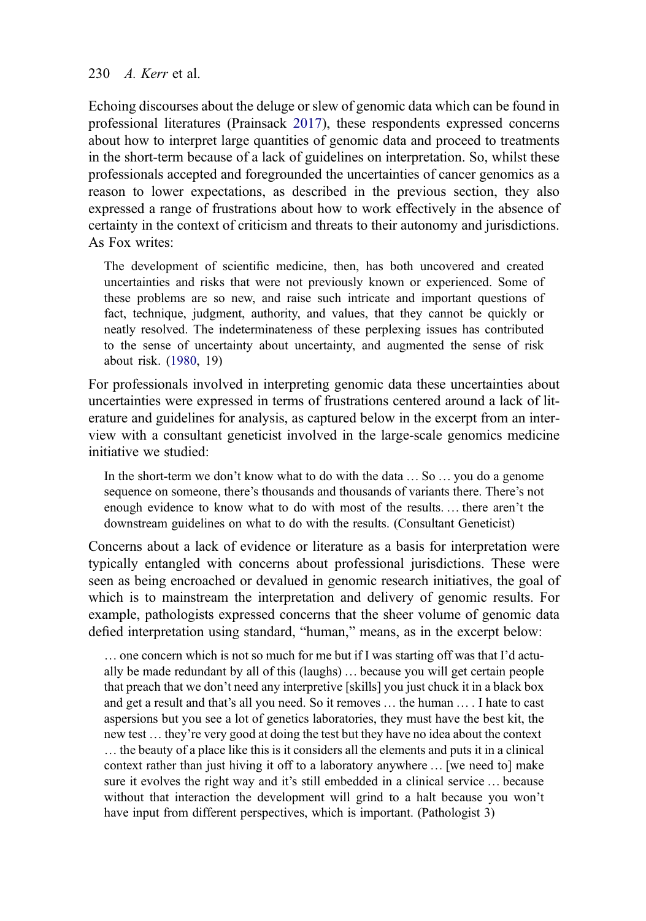#### <span id="page-9-0"></span>230  $\angle A$  Kerr et al.

Echoing discourses about the deluge or slew of genomic data which can be found in professional literatures (Prainsack [2017\)](#page-17-0), these respondents expressed concerns about how to interpret large quantities of genomic data and proceed to treatments in the short-term because of a lack of guidelines on interpretation. So, whilst these professionals accepted and foregrounded the uncertainties of cancer genomics as a reason to lower expectations, as described in the previous section, they also expressed a range of frustrations about how to work effectively in the absence of certainty in the context of criticism and threats to their autonomy and jurisdictions. As Fox writes:

The development of scientific medicine, then, has both uncovered and created uncertainties and risks that were not previously known or experienced. Some of these problems are so new, and raise such intricate and important questions of fact, technique, judgment, authority, and values, that they cannot be quickly or neatly resolved. The indeterminateness of these perplexing issues has contributed to the sense of uncertainty about uncertainty, and augmented the sense of risk about risk. [\(1980](#page-17-0), 19)

For professionals involved in interpreting genomic data these uncertainties about uncertainties were expressed in terms of frustrations centered around a lack of literature and guidelines for analysis, as captured below in the excerpt from an interview with a consultant geneticist involved in the large-scale genomics medicine initiative we studied:

In the short-term we don't know what to do with the data … So … you do a genome sequence on someone, there's thousands and thousands of variants there. There's not enough evidence to know what to do with most of the results. … there aren't the downstream guidelines on what to do with the results. (Consultant Geneticist)

Concerns about a lack of evidence or literature as a basis for interpretation were typically entangled with concerns about professional jurisdictions. These were seen as being encroached or devalued in genomic research initiatives, the goal of which is to mainstream the interpretation and delivery of genomic results. For example, pathologists expressed concerns that the sheer volume of genomic data defied interpretation using standard, "human," means, as in the excerpt below:

… one concern which is not so much for me but if I was starting off was that I'd actually be made redundant by all of this (laughs) … because you will get certain people that preach that we don't need any interpretive [skills] you just chuck it in a black box and get a result and that's all you need. So it removes … the human … . I hate to cast aspersions but you see a lot of genetics laboratories, they must have the best kit, the new test … they're very good at doing the test but they have no idea about the context … the beauty of a place like this is it considers all the elements and puts it in a clinical context rather than just hiving it off to a laboratory anywhere … [we need to] make sure it evolves the right way and it's still embedded in a clinical service … because without that interaction the development will grind to a halt because you won't have input from different perspectives, which is important. (Pathologist 3)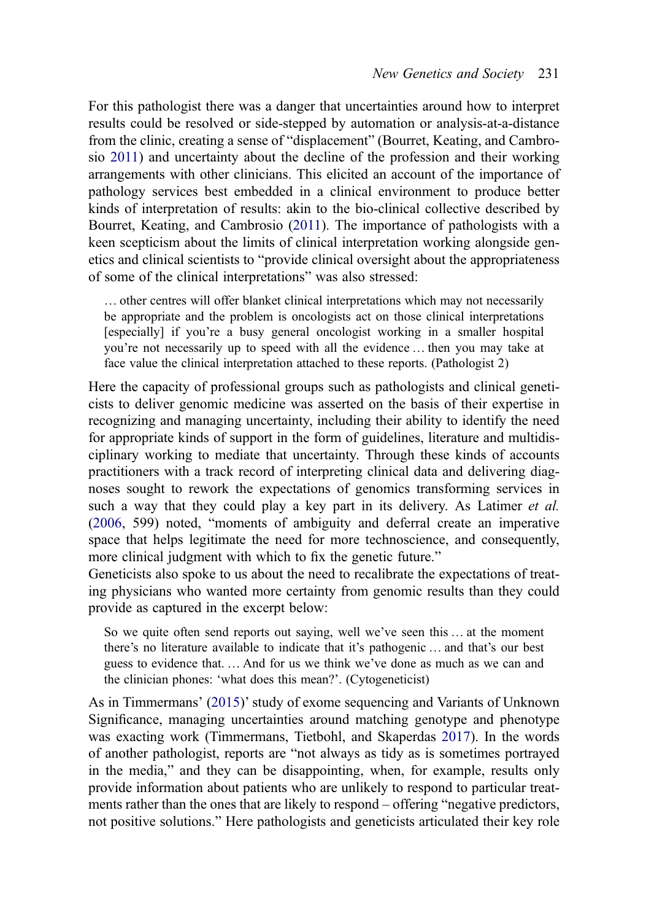<span id="page-10-0"></span>For this pathologist there was a danger that uncertainties around how to interpret results could be resolved or side-stepped by automation or analysis-at-a-distance from the clinic, creating a sense of "displacement" (Bourret, Keating, and Cambrosio [2011\)](#page-16-0) and uncertainty about the decline of the profession and their working arrangements with other clinicians. This elicited an account of the importance of pathology services best embedded in a clinical environment to produce better kinds of interpretation of results: akin to the bio-clinical collective described by Bourret, Keating, and Cambrosio ([2011\)](#page-16-0). The importance of pathologists with a keen scepticism about the limits of clinical interpretation working alongside genetics and clinical scientists to "provide clinical oversight about the appropriateness of some of the clinical interpretations" was also stressed:

… other centres will offer blanket clinical interpretations which may not necessarily be appropriate and the problem is oncologists act on those clinical interpretations [especially] if you're a busy general oncologist working in a smaller hospital you're not necessarily up to speed with all the evidence … then you may take at face value the clinical interpretation attached to these reports. (Pathologist 2)

Here the capacity of professional groups such as pathologists and clinical geneticists to deliver genomic medicine was asserted on the basis of their expertise in recognizing and managing uncertainty, including their ability to identify the need for appropriate kinds of support in the form of guidelines, literature and multidisciplinary working to mediate that uncertainty. Through these kinds of accounts practitioners with a track record of interpreting clinical data and delivering diagnoses sought to rework the expectations of genomics transforming services in such a way that they could play a key part in its delivery. As Latimer et al. [\(2006](#page-17-0), 599) noted, "moments of ambiguity and deferral create an imperative space that helps legitimate the need for more technoscience, and consequently, more clinical judgment with which to fix the genetic future."

Geneticists also spoke to us about the need to recalibrate the expectations of treating physicians who wanted more certainty from genomic results than they could provide as captured in the excerpt below:

So we quite often send reports out saying, well we've seen this … at the moment there's no literature available to indicate that it's pathogenic … and that's our best guess to evidence that. … And for us we think we've done as much as we can and the clinician phones: 'what does this mean?'. (Cytogeneticist)

As in Timmermans' [\(2015](#page-17-0))' study of exome sequencing and Variants of Unknown Significance, managing uncertainties around matching genotype and phenotype was exacting work (Timmermans, Tietbohl, and Skaperdas [2017](#page-18-0)). In the words of another pathologist, reports are "not always as tidy as is sometimes portrayed in the media," and they can be disappointing, when, for example, results only provide information about patients who are unlikely to respond to particular treatments rather than the ones that are likely to respond – offering "negative predictors, not positive solutions." Here pathologists and geneticists articulated their key role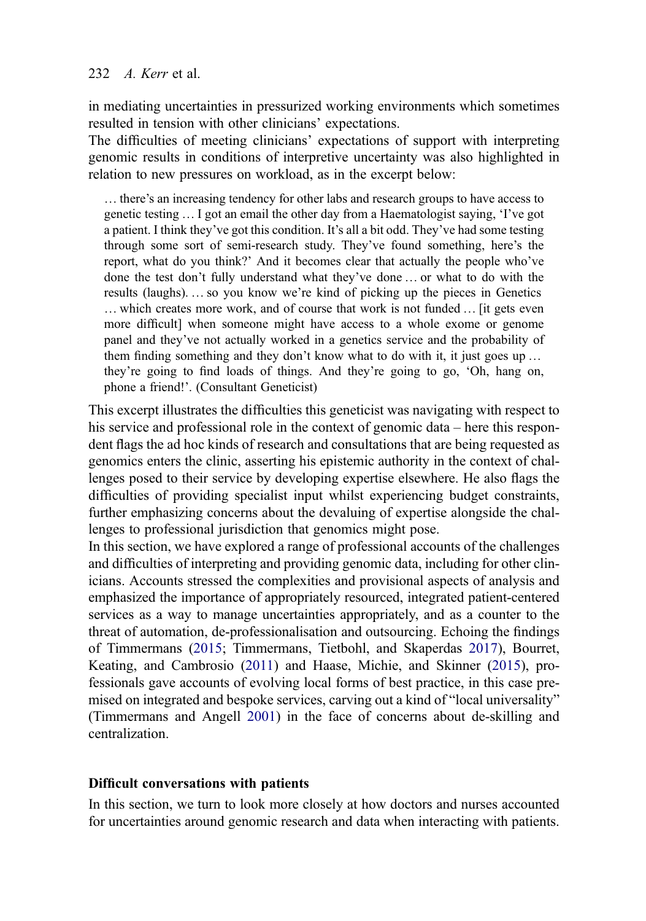# <span id="page-11-0"></span>232 *A. Kerr* et al.

in mediating uncertainties in pressurized working environments which sometimes resulted in tension with other clinicians' expectations.

The difficulties of meeting clinicians' expectations of support with interpreting genomic results in conditions of interpretive uncertainty was also highlighted in relation to new pressures on workload, as in the excerpt below:

… there's an increasing tendency for other labs and research groups to have access to genetic testing … I got an email the other day from a Haematologist saying, 'I've got a patient. I think they've got this condition. It's all a bit odd. They've had some testing through some sort of semi-research study. They've found something, here's the report, what do you think?' And it becomes clear that actually the people who've done the test don't fully understand what they've done … or what to do with the results (laughs). … so you know we're kind of picking up the pieces in Genetics … which creates more work, and of course that work is not funded … [it gets even more difficult] when someone might have access to a whole exome or genome panel and they've not actually worked in a genetics service and the probability of them finding something and they don't know what to do with it, it just goes up … they're going to find loads of things. And they're going to go, 'Oh, hang on, phone a friend!'. (Consultant Geneticist)

This excerpt illustrates the difficulties this geneticist was navigating with respect to his service and professional role in the context of genomic data – here this respondent flags the ad hoc kinds of research and consultations that are being requested as genomics enters the clinic, asserting his epistemic authority in the context of challenges posed to their service by developing expertise elsewhere. He also flags the difficulties of providing specialist input whilst experiencing budget constraints, further emphasizing concerns about the devaluing of expertise alongside the challenges to professional jurisdiction that genomics might pose.

In this section, we have explored a range of professional accounts of the challenges and difficulties of interpreting and providing genomic data, including for other clinicians. Accounts stressed the complexities and provisional aspects of analysis and emphasized the importance of appropriately resourced, integrated patient-centered services as a way to manage uncertainties appropriately, and as a counter to the threat of automation, de-professionalisation and outsourcing. Echoing the findings of Timmermans ([2015;](#page-17-0) Timmermans, Tietbohl, and Skaperdas [2017](#page-18-0)), Bourret, Keating, and Cambrosio ([2011](#page-16-0)) and Haase, Michie, and Skinner ([2015\)](#page-17-0), professionals gave accounts of evolving local forms of best practice, in this case premised on integrated and bespoke services, carving out a kind of "local universality" (Timmermans and Angell [2001\)](#page-18-0) in the face of concerns about de-skilling and centralization.

# Difficult conversations with patients

In this section, we turn to look more closely at how doctors and nurses accounted for uncertainties around genomic research and data when interacting with patients.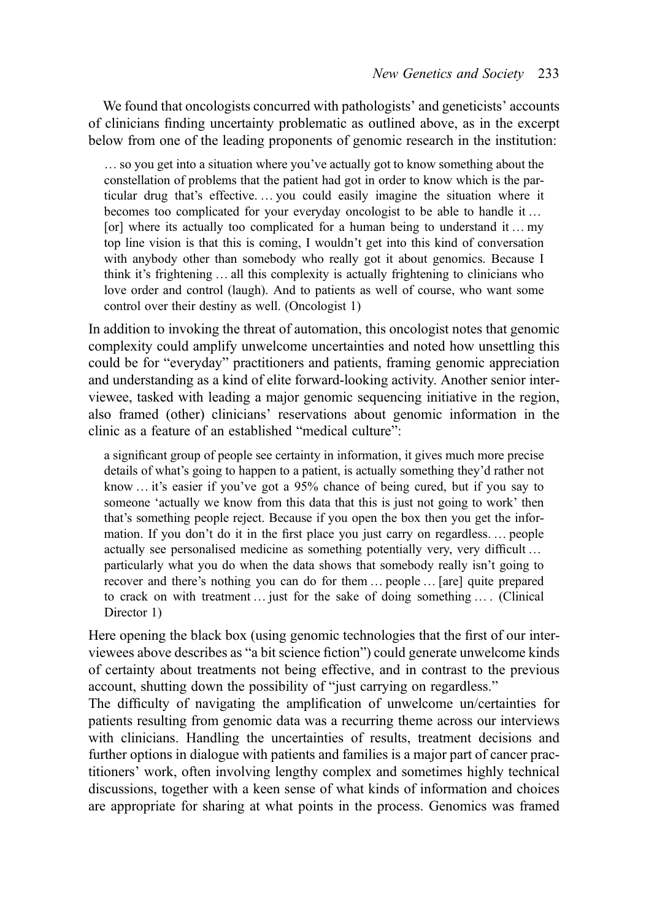We found that oncologists concurred with pathologists' and geneticists' accounts of clinicians finding uncertainty problematic as outlined above, as in the excerpt below from one of the leading proponents of genomic research in the institution:

… so you get into a situation where you've actually got to know something about the constellation of problems that the patient had got in order to know which is the particular drug that's effective. … you could easily imagine the situation where it becomes too complicated for your everyday oncologist to be able to handle it … [or] where its actually too complicated for a human being to understand it ... my top line vision is that this is coming, I wouldn't get into this kind of conversation with anybody other than somebody who really got it about genomics. Because I think it's frightening … all this complexity is actually frightening to clinicians who love order and control (laugh). And to patients as well of course, who want some control over their destiny as well. (Oncologist 1)

In addition to invoking the threat of automation, this oncologist notes that genomic complexity could amplify unwelcome uncertainties and noted how unsettling this could be for "everyday" practitioners and patients, framing genomic appreciation and understanding as a kind of elite forward-looking activity. Another senior interviewee, tasked with leading a major genomic sequencing initiative in the region, also framed (other) clinicians' reservations about genomic information in the clinic as a feature of an established "medical culture":

a significant group of people see certainty in information, it gives much more precise details of what's going to happen to a patient, is actually something they'd rather not know … it's easier if you've got a 95% chance of being cured, but if you say to someone 'actually we know from this data that this is just not going to work' then that's something people reject. Because if you open the box then you get the information. If you don't do it in the first place you just carry on regardless. … people actually see personalised medicine as something potentially very, very difficult … particularly what you do when the data shows that somebody really isn't going to recover and there's nothing you can do for them … people … [are] quite prepared to crack on with treatment … just for the sake of doing something … . (Clinical Director 1)

Here opening the black box (using genomic technologies that the first of our interviewees above describes as "a bit science fiction") could generate unwelcome kinds of certainty about treatments not being effective, and in contrast to the previous account, shutting down the possibility of "just carrying on regardless."

The difficulty of navigating the amplification of unwelcome un/certainties for patients resulting from genomic data was a recurring theme across our interviews with clinicians. Handling the uncertainties of results, treatment decisions and further options in dialogue with patients and families is a major part of cancer practitioners' work, often involving lengthy complex and sometimes highly technical discussions, together with a keen sense of what kinds of information and choices are appropriate for sharing at what points in the process. Genomics was framed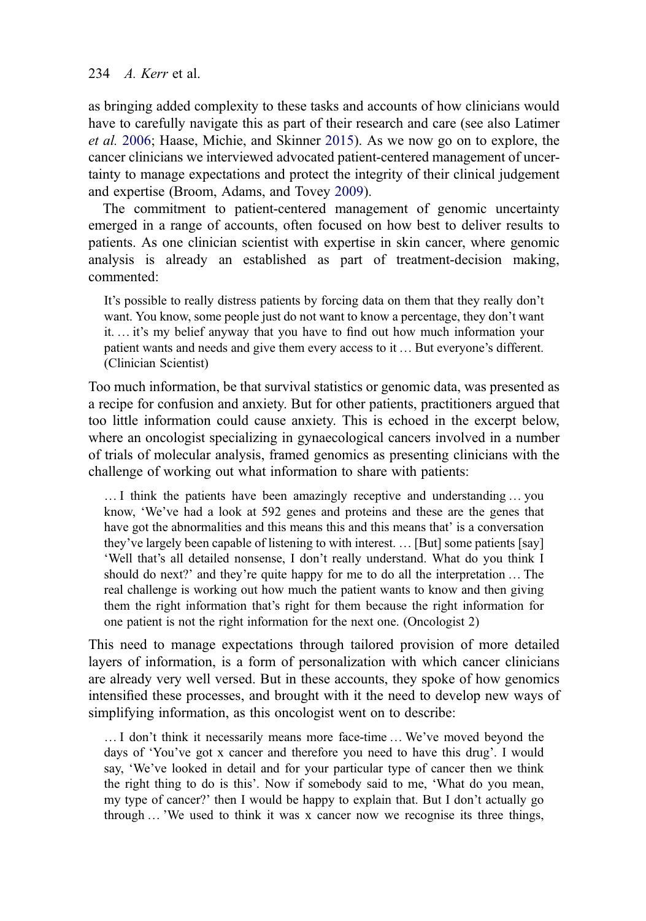# 234  $A$  Kerr et al.

as bringing added complexity to these tasks and accounts of how clinicians would have to carefully navigate this as part of their research and care (see also Latimer et al. [2006](#page-17-0); Haase, Michie, and Skinner [2015](#page-17-0)). As we now go on to explore, the cancer clinicians we interviewed advocated patient-centered management of uncertainty to manage expectations and protect the integrity of their clinical judgement and expertise (Broom, Adams, and Tovey [2009\)](#page-16-0).

The commitment to patient-centered management of genomic uncertainty emerged in a range of accounts, often focused on how best to deliver results to patients. As one clinician scientist with expertise in skin cancer, where genomic analysis is already an established as part of treatment-decision making, commented:

It's possible to really distress patients by forcing data on them that they really don't want. You know, some people just do not want to know a percentage, they don't want it. … it's my belief anyway that you have to find out how much information your patient wants and needs and give them every access to it … But everyone's different. (Clinician Scientist)

Too much information, be that survival statistics or genomic data, was presented as a recipe for confusion and anxiety. But for other patients, practitioners argued that too little information could cause anxiety. This is echoed in the excerpt below, where an oncologist specializing in gynaecological cancers involved in a number of trials of molecular analysis, framed genomics as presenting clinicians with the challenge of working out what information to share with patients:

… I think the patients have been amazingly receptive and understanding … you know, 'We've had a look at 592 genes and proteins and these are the genes that have got the abnormalities and this means this and this means that' is a conversation they've largely been capable of listening to with interest. … [But] some patients [say] 'Well that's all detailed nonsense, I don't really understand. What do you think I should do next?' and they're quite happy for me to do all the interpretation … The real challenge is working out how much the patient wants to know and then giving them the right information that's right for them because the right information for one patient is not the right information for the next one. (Oncologist 2)

This need to manage expectations through tailored provision of more detailed layers of information, is a form of personalization with which cancer clinicians are already very well versed. But in these accounts, they spoke of how genomics intensified these processes, and brought with it the need to develop new ways of simplifying information, as this oncologist went on to describe:

… I don't think it necessarily means more face-time … We've moved beyond the days of 'You've got x cancer and therefore you need to have this drug'. I would say, 'We've looked in detail and for your particular type of cancer then we think the right thing to do is this'. Now if somebody said to me, 'What do you mean, my type of cancer?' then I would be happy to explain that. But I don't actually go through … 'We used to think it was x cancer now we recognise its three things,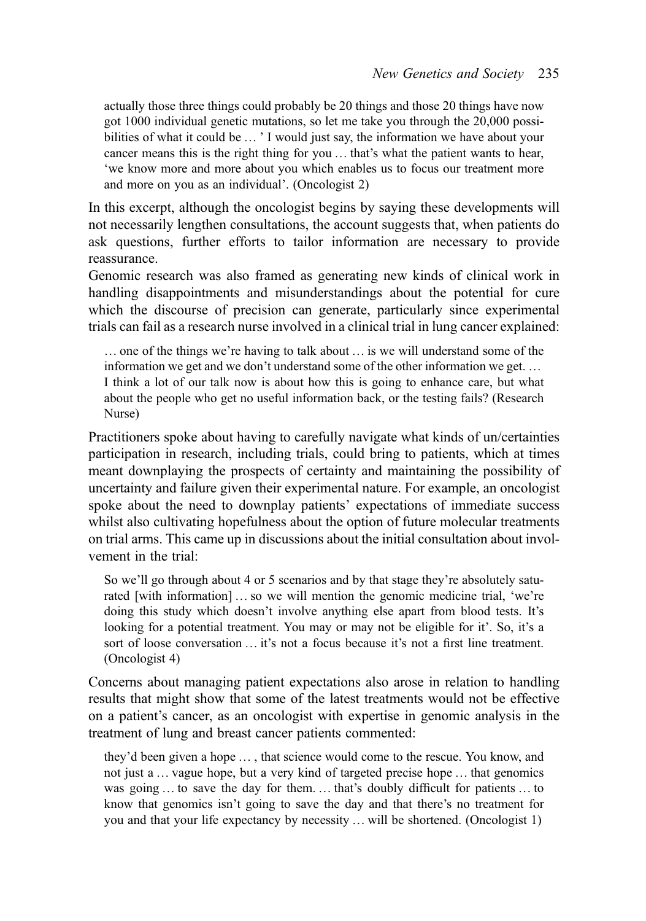actually those three things could probably be 20 things and those 20 things have now got 1000 individual genetic mutations, so let me take you through the 20,000 possibilities of what it could be ... ' I would just say, the information we have about your cancer means this is the right thing for you … that's what the patient wants to hear, 'we know more and more about you which enables us to focus our treatment more and more on you as an individual'. (Oncologist 2)

In this excerpt, although the oncologist begins by saying these developments will not necessarily lengthen consultations, the account suggests that, when patients do ask questions, further efforts to tailor information are necessary to provide reassurance.

Genomic research was also framed as generating new kinds of clinical work in handling disappointments and misunderstandings about the potential for cure which the discourse of precision can generate, particularly since experimental trials can fail as a research nurse involved in a clinical trial in lung cancer explained:

… one of the things we're having to talk about … is we will understand some of the information we get and we don't understand some of the other information we get. … I think a lot of our talk now is about how this is going to enhance care, but what about the people who get no useful information back, or the testing fails? (Research Nurse)

Practitioners spoke about having to carefully navigate what kinds of un/certainties participation in research, including trials, could bring to patients, which at times meant downplaying the prospects of certainty and maintaining the possibility of uncertainty and failure given their experimental nature. For example, an oncologist spoke about the need to downplay patients' expectations of immediate success whilst also cultivating hopefulness about the option of future molecular treatments on trial arms. This came up in discussions about the initial consultation about involvement in the trial:

So we'll go through about 4 or 5 scenarios and by that stage they're absolutely saturated [with information] … so we will mention the genomic medicine trial, 'we're doing this study which doesn't involve anything else apart from blood tests. It's looking for a potential treatment. You may or may not be eligible for it'. So, it's a sort of loose conversation … it's not a focus because it's not a first line treatment. (Oncologist 4)

Concerns about managing patient expectations also arose in relation to handling results that might show that some of the latest treatments would not be effective on a patient's cancer, as an oncologist with expertise in genomic analysis in the treatment of lung and breast cancer patients commented:

they'd been given a hope … , that science would come to the rescue. You know, and not just a … vague hope, but a very kind of targeted precise hope … that genomics was going ... to save the day for them. ... that's doubly difficult for patients ... to know that genomics isn't going to save the day and that there's no treatment for you and that your life expectancy by necessity … will be shortened. (Oncologist 1)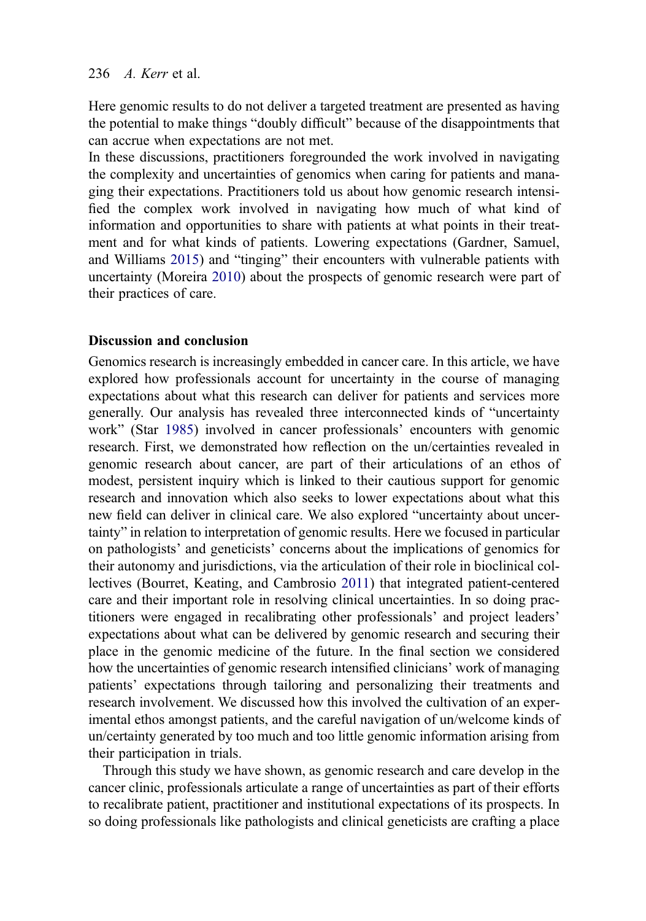#### 236  $\angle A$  Kerr et al.

Here genomic results to do not deliver a targeted treatment are presented as having the potential to make things "doubly difficult" because of the disappointments that can accrue when expectations are not met.

In these discussions, practitioners foregrounded the work involved in navigating the complexity and uncertainties of genomics when caring for patients and managing their expectations. Practitioners told us about how genomic research intensified the complex work involved in navigating how much of what kind of information and opportunities to share with patients at what points in their treatment and for what kinds of patients. Lowering expectations (Gardner, Samuel, and Williams [2015](#page-17-0)) and "tinging" their encounters with vulnerable patients with uncertainty (Moreira [2010\)](#page-17-0) about the prospects of genomic research were part of their practices of care.

# Discussion and conclusion

Genomics research is increasingly embedded in cancer care. In this article, we have explored how professionals account for uncertainty in the course of managing expectations about what this research can deliver for patients and services more generally. Our analysis has revealed three interconnected kinds of "uncertainty work" (Star [1985](#page-17-0)) involved in cancer professionals' encounters with genomic research. First, we demonstrated how reflection on the un/certainties revealed in genomic research about cancer, are part of their articulations of an ethos of modest, persistent inquiry which is linked to their cautious support for genomic research and innovation which also seeks to lower expectations about what this new field can deliver in clinical care. We also explored "uncertainty about uncertainty" in relation to interpretation of genomic results. Here we focused in particular on pathologists' and geneticists' concerns about the implications of genomics for their autonomy and jurisdictions, via the articulation of their role in bioclinical collectives (Bourret, Keating, and Cambrosio [2011\)](#page-16-0) that integrated patient-centered care and their important role in resolving clinical uncertainties. In so doing practitioners were engaged in recalibrating other professionals' and project leaders' expectations about what can be delivered by genomic research and securing their place in the genomic medicine of the future. In the final section we considered how the uncertainties of genomic research intensified clinicians' work of managing patients' expectations through tailoring and personalizing their treatments and research involvement. We discussed how this involved the cultivation of an experimental ethos amongst patients, and the careful navigation of un/welcome kinds of un/certainty generated by too much and too little genomic information arising from their participation in trials.

Through this study we have shown, as genomic research and care develop in the cancer clinic, professionals articulate a range of uncertainties as part of their efforts to recalibrate patient, practitioner and institutional expectations of its prospects. In so doing professionals like pathologists and clinical geneticists are crafting a place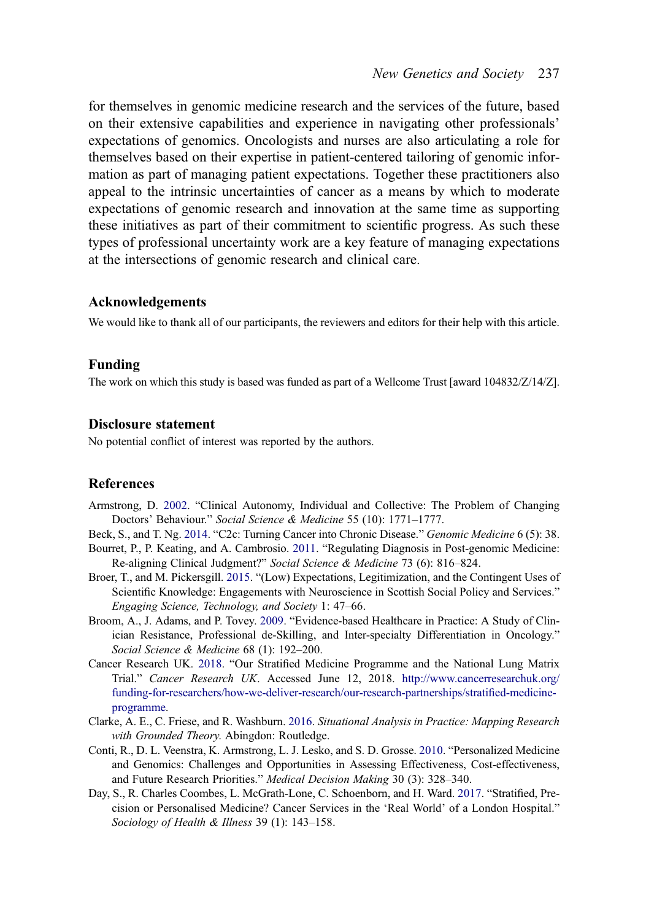<span id="page-16-0"></span>for themselves in genomic medicine research and the services of the future, based on their extensive capabilities and experience in navigating other professionals' expectations of genomics. Oncologists and nurses are also articulating a role for themselves based on their expertise in patient-centered tailoring of genomic information as part of managing patient expectations. Together these practitioners also appeal to the intrinsic uncertainties of cancer as a means by which to moderate expectations of genomic research and innovation at the same time as supporting these initiatives as part of their commitment to scientific progress. As such these types of professional uncertainty work are a key feature of managing expectations at the intersections of genomic research and clinical care.

#### Acknowledgements

We would like to thank all of our participants, the reviewers and editors for their help with this article.

#### Funding

The work on which this study is based was funded as part of a Wellcome Trust [award 104832/Z/14/Z].

#### Disclosure statement

No potential conflict of interest was reported by the authors.

#### **References**

- Armstrong, D. [2002.](#page-2-0) "Clinical Autonomy, Individual and Collective: The Problem of Changing Doctors' Behaviour." Social Science & Medicine 55 (10): 1771–1777.
- Beck, S., and T. Ng. [2014.](#page-1-0) "C2c: Turning Cancer into Chronic Disease." Genomic Medicine 6 (5): 38.
- Bourret, P., P. Keating, and A. Cambrosio. [2011](#page-10-0). "Regulating Diagnosis in Post-genomic Medicine: Re-aligning Clinical Judgment?" Social Science & Medicine 73 (6): 816–824.
- Broer, T., and M. Pickersgill. [2015](#page-2-0). "(Low) Expectations, Legitimization, and the Contingent Uses of Scientific Knowledge: Engagements with Neuroscience in Scottish Social Policy and Services." Engaging Science, Technology, and Society 1: 47–66.
- Broom, A., J. Adams, and P. Tovey. [2009.](#page-3-0) "Evidence-based Healthcare in Practice: A Study of Clinician Resistance, Professional de-Skilling, and Inter-specialty Differentiation in Oncology." Social Science & Medicine 68 (1): 192–200.
- Cancer Research UK. [2018](#page-2-0). "Our Stratified Medicine Programme and the National Lung Matrix Trial." Cancer Research UK. Accessed June 12, 2018. [http://www.cancerresearchuk.org/](http://www.cancerresearchuk.org/funding-for-researchers/how-we-deliver-research/our-research-partnerships/stratified-medicine-programme) [funding-for-researchers/how-we-deliver-research/our-research-partnerships/strati](http://www.cancerresearchuk.org/funding-for-researchers/how-we-deliver-research/our-research-partnerships/stratified-medicine-programme)fied-medicine[programme](http://www.cancerresearchuk.org/funding-for-researchers/how-we-deliver-research/our-research-partnerships/stratified-medicine-programme).
- Clarke, A. E., C. Friese, and R. Washburn. [2016](#page-4-0). Situational Analysis in Practice: Mapping Research with Grounded Theory. Abingdon: Routledge.
- Conti, R., D. L. Veenstra, K. Armstrong, L. J. Lesko, and S. D. Grosse. [2010](#page-2-0). "Personalized Medicine and Genomics: Challenges and Opportunities in Assessing Effectiveness, Cost-effectiveness, and Future Research Priorities." Medical Decision Making 30 (3): 328–340.
- Day, S., R. Charles Coombes, L. McGrath-Lone, C. Schoenborn, and H. Ward. [2017.](#page-5-0) "Stratified, Precision or Personalised Medicine? Cancer Services in the 'Real World' of a London Hospital." Sociology of Health & Illness 39 (1): 143-158.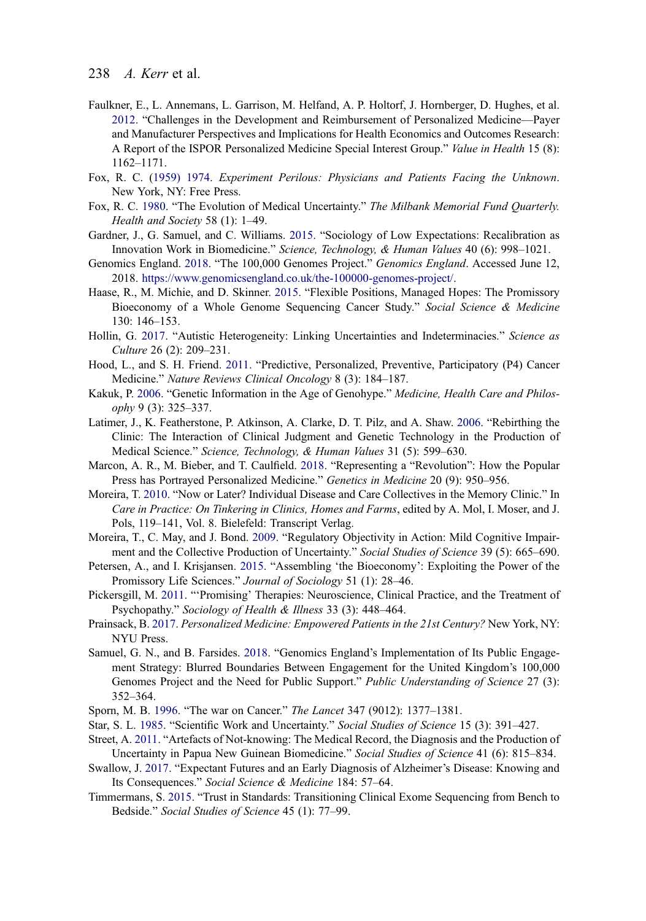# <span id="page-17-0"></span>238 A. Kerr et al.

- Faulkner, E., L. Annemans, L. Garrison, M. Helfand, A. P. Holtorf, J. Hornberger, D. Hughes, et al. [2012](#page-2-0). "Challenges in the Development and Reimbursement of Personalized Medicine—Payer and Manufacturer Perspectives and Implications for Health Economics and Outcomes Research: A Report of the ISPOR Personalized Medicine Special Interest Group." Value in Health 15 (8): 1162–1171.
- Fox, R. C. ([1959\) 1974](#page-7-0). Experiment Perilous: Physicians and Patients Facing the Unknown. New York, NY: Free Press.
- Fox, R. C. [1980](#page-2-0). "The Evolution of Medical Uncertainty." The Milbank Memorial Fund Quarterly. Health and Society 58 (1): 1–49.
- Gardner, J., G. Samuel, and C. Williams. [2015](#page-2-0). "Sociology of Low Expectations: Recalibration as Innovation Work in Biomedicine." Science, Technology, & Human Values 40 (6): 998–1021.
- Genomics England. [2018](#page-1-0). "The 100,000 Genomes Project." Genomics England. Accessed June 12, 2018. <https://www.genomicsengland.co.uk/the-100000-genomes-project/>.
- Haase, R., M. Michie, and D. Skinner. [2015.](#page-11-0) "Flexible Positions, Managed Hopes: The Promissory Bioeconomy of a Whole Genome Sequencing Cancer Study." Social Science & Medicine 130: 146–153.
- Hollin, G. [2017](#page-3-0). "Autistic Heterogeneity: Linking Uncertainties and Indeterminacies." Science as Culture 26 (2): 209–231.
- Hood, L., and S. H. Friend. [2011](#page-2-0). "Predictive, Personalized, Preventive, Participatory (P4) Cancer Medicine." Nature Reviews Clinical Oncology 8 (3): 184–187.
- Kakuk, P. [2006.](#page-2-0) "Genetic Information in the Age of Genohype." Medicine, Health Care and Philosophy 9 (3): 325–337.
- Latimer, J., K. Featherstone, P. Atkinson, A. Clarke, D. T. Pilz, and A. Shaw. [2006](#page-10-0). "Rebirthing the Clinic: The Interaction of Clinical Judgment and Genetic Technology in the Production of Medical Science." Science, Technology, & Human Values 31 (5): 599–630.
- Marcon, A. R., M. Bieber, and T. Caulfield. [2018.](#page-2-0) "Representing a "Revolution": How the Popular Press has Portrayed Personalized Medicine." Genetics in Medicine 20 (9): 950–956.
- Moreira, T. [2010.](#page-3-0) "Now or Later? Individual Disease and Care Collectives in the Memory Clinic." In Care in Practice: On Tinkering in Clinics, Homes and Farms, edited by A. Mol, I. Moser, and J. Pols, 119–141, Vol. 8. Bielefeld: Transcript Verlag.
- Moreira, T., C. May, and J. Bond. [2009.](#page-3-0) "Regulatory Objectivity in Action: Mild Cognitive Impairment and the Collective Production of Uncertainty." Social Studies of Science 39 (5): 665-690.
- Petersen, A., and I. Krisjansen. [2015](#page-2-0). "Assembling 'the Bioeconomy': Exploiting the Power of the Promissory Life Sciences." Journal of Sociology 51 (1): 28–46.
- Pickersgill, M. [2011.](#page-2-0) "'Promising' Therapies: Neuroscience, Clinical Practice, and the Treatment of Psychopathy." Sociology of Health & Illness 33 (3): 448–464.
- Prainsack, B. [2017](#page-9-0). Personalized Medicine: Empowered Patients in the 21st Century? New York, NY: NYU Press.
- Samuel, G. N., and B. Farsides. [2018](#page-2-0). "Genomics England's Implementation of Its Public Engagement Strategy: Blurred Boundaries Between Engagement for the United Kingdom's 100,000 Genomes Project and the Need for Public Support." Public Understanding of Science 27 (3): 352–364.
- Sporn, M. B. [1996.](#page-8-0) "The war on Cancer." The Lancet 347 (9012): 1377–1381.
- Star, S. L. [1985.](#page-3-0) "Scientific Work and Uncertainty." Social Studies of Science 15 (3): 391–427.
- Street, A. [2011.](#page-2-0) "Artefacts of Not-knowing: The Medical Record, the Diagnosis and the Production of Uncertainty in Papua New Guinean Biomedicine." Social Studies of Science 41 (6): 815–834.
- Swallow, J. [2017.](#page-3-0) "Expectant Futures and an Early Diagnosis of Alzheimer's Disease: Knowing and Its Consequences." Social Science & Medicine 184: 57–64.
- Timmermans, S. [2015.](#page-10-0) "Trust in Standards: Transitioning Clinical Exome Sequencing from Bench to Bedside." Social Studies of Science 45 (1): 77–99.